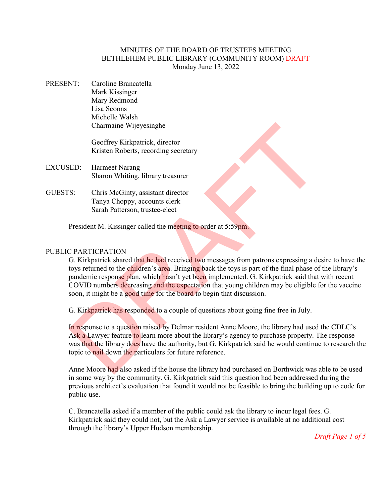## MINUTES OF THE BOARD OF TRUSTEES MEETING BETHLEHEM PUBLIC LIBRARY (COMMUNITY ROOM) DRAFT Monday June 13, 2022

PRESENT: Caroline Brancatella Mark Kissinger Mary Redmond Lisa Scoons Michelle Walsh Charmaine Wijeyesinghe

> Geoffrey Kirkpatrick, director Kristen Roberts, recording secretary

- EXCUSED: Harmeet Narang Sharon Whiting, library treasurer
- GUESTS: Chris McGinty, assistant director Tanya Choppy, accounts clerk Sarah Patterson, trustee-elect

President M. Kissinger called the meeting to order at 5:59pm.

# PUBLIC PARTICPATION

G. Kirkpatrick shared that he had received two messages from patrons expressing a desire to have the toys returned to the children's area. Bringing back the toys is part of the final phase of the library's pandemic response plan, which hasn't yet been implemented. G. Kirkpatrick said that with recent COVID numbers decreasing and the expectation that young children may be eligible for the vaccine soon, it might be a good time for the board to begin that discussion. Charmaine Wijeyesinghe<br>
Geoffrey Kirkpatrick, director<br>
Kristen Roberts, recording sceretary<br>
ED: Harmeet Narang<br>
Sharon Whiting, library treasurer<br>
Tenya Chopy, accounts clerk<br>
Sarah Patterson, trustee-elect<br>
President M.

G. Kirkpatrick has responded to a couple of questions about going fine free in July.

In response to a question raised by Delmar resident Anne Moore, the library had used the CDLC's Ask a Lawyer feature to learn more about the library's agency to purchase property. The response was that the library does have the authority, but G. Kirkpatrick said he would continue to research the topic to nail down the particulars for future reference.

Anne Moore had also asked if the house the library had purchased on Borthwick was able to be used in some way by the community. G. Kirkpatrick said this question had been addressed during the previous architect's evaluation that found it would not be feasible to bring the building up to code for public use.

C. Brancatella asked if a member of the public could ask the library to incur legal fees. G. Kirkpatrick said they could not, but the Ask a Lawyer service is available at no additional cost through the library's Upper Hudson membership.

*Draft Page 1 of 5*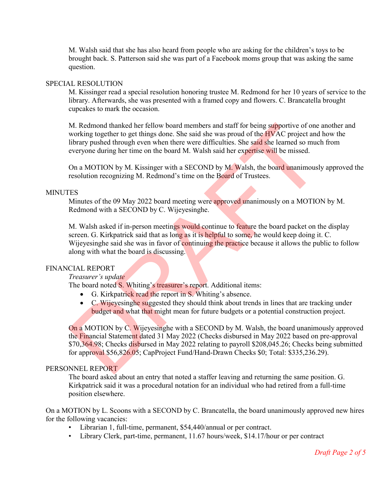M. Walsh said that she has also heard from people who are asking for the children's toys to be brought back. S. Patterson said she was part of a Facebook moms group that was asking the same question.

### SPECIAL RESOLUTION

M. Kissinger read a special resolution honoring trustee M. Redmond for her 10 years of service to the library. Afterwards, she was presented with a framed copy and flowers. C. Brancatella brought cupcakes to mark the occasion.

M. Redmond thanked her fellow board members and staff for being supportive of one another and working together to get things done. She said she was proud of the **HVAC** project and how the library pushed through even when there were difficulties. She said she learned so much from everyone during her time on the board M. Walsh said her expertise will be missed.

On a MOTION by M. Kissinger with a SECOND by M. Walsh, the board unanimously approved the resolution recognizing M. Redmond's time on the Board of Trustees.

## MINUTES

Minutes of the 09 May 2022 board meeting were approved unanimously on a MOTION by M. Redmond with a SECOND by C. Wijeyesinghe.

M. Walsh asked if in-person meetings would continue to feature the board packet on the display screen. G. Kirkpatrick said that as long as it is helpful to some, he would keep doing it. C. Wijeyesinghe said she was in favor of continuing the practice because it allows the public to follow along with what the board is discussing. M. Redmond thanked her fellow board members and staff for being supportive of one working together to get things done. She said she was proud of the HVAC project and subsection library pushed through even when there were

### FINANCIAL REPORT

### *Treasurer's update*

The board noted S. Whiting's treasurer's report. Additional items:

- G. Kirkpatrick read the report in S. Whiting's absence.
- C. Wijeyesinghe suggested they should think about trends in lines that are tracking under budget and what that might mean for future budgets or a potential construction project.

On a MOTION by C. Wijeyesinghe with a SECOND by M. Walsh, the board unanimously approved the Financial Statement dated 31 May 2022 (Checks disbursed in May 2022 based on pre-approval \$70,364.98; Checks disbursed in May 2022 relating to payroll \$208,045.26; Checks being submitted for approval \$56,826.05; CapProject Fund/Hand-Drawn Checks \$0; Total: \$335,236.29).

# PERSONNEL REPORT

The board asked about an entry that noted a staffer leaving and returning the same position. G. Kirkpatrick said it was a procedural notation for an individual who had retired from a full-time position elsewhere.

On a MOTION by L. Scoons with a SECOND by C. Brancatella, the board unanimously approved new hires for the following vacancies:

- Librarian 1, full-time, permanent, \$54,440/annual or per contract.
- Library Clerk, part-time, permanent, 11.67 hours/week, \$14.17/hour or per contract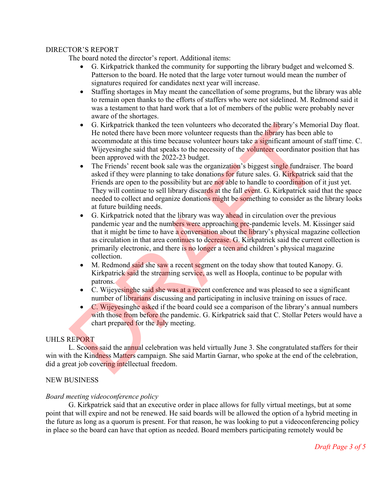## DIRECTOR'S REPORT

The board noted the director's report. Additional items:

- G. Kirkpatrick thanked the community for supporting the library budget and welcomed S. Patterson to the board. He noted that the large voter turnout would mean the number of signatures required for candidates next year will increase.
- Staffing shortages in May meant the cancellation of some programs, but the library was able to remain open thanks to the efforts of staffers who were not sidelined. M. Redmond said it was a testament to that hard work that a lot of members of the public were probably never aware of the shortages.
- G. Kirkpatrick thanked the teen volunteers who decorated the library's Memorial Day float. He noted there have been more volunteer requests than the *library* has been able to accommodate at this time because volunteer hours take a significant amount of staff time. C. Wijeyesinghe said that speaks to the necessity of the volunteer coordinator position that has been approved with the 2022-23 budget.
- The Friends' recent book sale was the organization's biggest single fundraiser. The board asked if they were planning to take donations for future sales. G. Kirkpatrick said that the Friends are open to the possibility but are not able to handle to coordination of it just yet. They will continue to sell library discards at the fall event. G. Kirkpatrick said that the space needed to collect and organize donations might be something to consider as the library looks at future building needs. • G. Kirkpatrick thanked the teen volunteers who decorated the library's Memory<br>He hoted there have been more volunteer requests than the library has been able<br>accommodate at this time because volunteer requests than th
	- G. Kirkpatrick noted that the library was way ahead in circulation over the previous pandemic year and the numbers were approaching pre-pandemic levels. M. Kissinger said that it might be time to have a conversation about the library's physical magazine collection as circulation in that area continues to decrease. G. Kirkpatrick said the current collection is primarily electronic, and there is no longer a teen and children's physical magazine collection.
	- M. Redmond said she saw a recent segment on the today show that touted Kanopy. G. Kirkpatrick said the streaming service, as well as Hoopla, continue to be popular with patrons.
	- C. Wijeyesinghe said she was at a recent conference and was pleased to see a significant number of librarians discussing and participating in inclusive training on issues of race.
	- C. Wijeyesinghe asked if the board could see a comparison of the library's annual numbers with those from before the pandemic. G. Kirkpatrick said that C. Stollar Peters would have a chart prepared for the July meeting.

# UHLS REPORT

L. Scoons said the annual celebration was held virtually June 3. She congratulated staffers for their win with the Kindness Matters campaign. She said Martin Garnar, who spoke at the end of the celebration, did a great job covering intellectual freedom.

# NEW BUSINESS

# *Board meeting videoconference policy*

G. Kirkpatrick said that an executive order in place allows for fully virtual meetings, but at some point that will expire and not be renewed. He said boards will be allowed the option of a hybrid meeting in the future as long as a quorum is present. For that reason, he was looking to put a videoconferencing policy in place so the board can have that option as needed. Board members participating remotely would be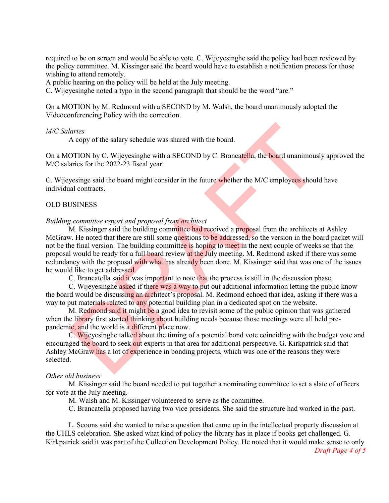required to be on screen and would be able to vote. C. Wijeyesinghe said the policy had been reviewed by the policy committee. M. Kissinger said the board would have to establish a notification process for those wishing to attend remotely.

A public hearing on the policy will be held at the July meeting.

C. Wijeyesinghe noted a typo in the second paragraph that should be the word "are."

On a MOTION by M. Redmond with a SECOND by M. Walsh, the board unanimously adopted the Videoconferencing Policy with the correction.

#### *M/C Salaries*

A copy of the salary schedule was shared with the board.

On a MOTION by C. Wijeyesinghe with a SECOND by C. Brancatella, the board unanimously approved the M/C salaries for the 2022-23 fiscal year.

C. Wijeyesinge said the board might consider in the future whether the M/C employees should have individual contracts.

#### OLD BUSINESS

#### *Building committee report and proposal from architect*

M. Kissinger said the building committee had received a proposal from the architects at Ashley McGraw. He noted that there are still some questions to be addressed, so the version in the board packet will not be the final version. The building committee is hoping to meet in the next couple of weeks so that the proposal would be ready for a full board review at the July meeting. M. Redmond asked if there was some redundancy with the proposal with what has already been done. M. Kissinger said that was one of the issues he would like to get addressed. faries<br>A copy of the salary schedule was shared with the board.<br>A copy of the salary schedule was shared with the board.<br>OTION by C. Wijeyesinghe with a SECOND by C. Brancatella, the board unanimousl<br>aries for the 2022-23

C. Brancatella said it was important to note that the process is still in the discussion phase.

C. Wijeyesinghe asked if there was a way to put out additional information letting the public know the board would be discussing an architect's proposal. M. Redmond echoed that idea, asking if there was a way to put materials related to any potential building plan in a dedicated spot on the website.

M. Redmond said it might be a good idea to revisit some of the public opinion that was gathered when the library first started thinking about building needs because those meetings were all held prepandemic, and the world is a different place now.

C. Wijeyesinghe talked about the timing of a potential bond vote coinciding with the budget vote and encouraged the board to seek out experts in that area for additional perspective. G. Kirkpatrick said that Ashley McGraw has a lot of experience in bonding projects, which was one of the reasons they were selected.

#### *Other old business*

M. Kissinger said the board needed to put together a nominating committee to set a slate of officers for vote at the July meeting.

M. Walsh and M. Kissinger volunteered to serve as the committee.

C. Brancatella proposed having two vice presidents. She said the structure had worked in the past.

L. Scoons said she wanted to raise a question that came up in the intellectual property discussion at the UHLS celebration. She asked what kind of policy the library has in place if books get challenged. G. Kirkpatrick said it was part of the Collection Development Policy. He noted that it would make sense to only

*Draft Page 4 of 5*